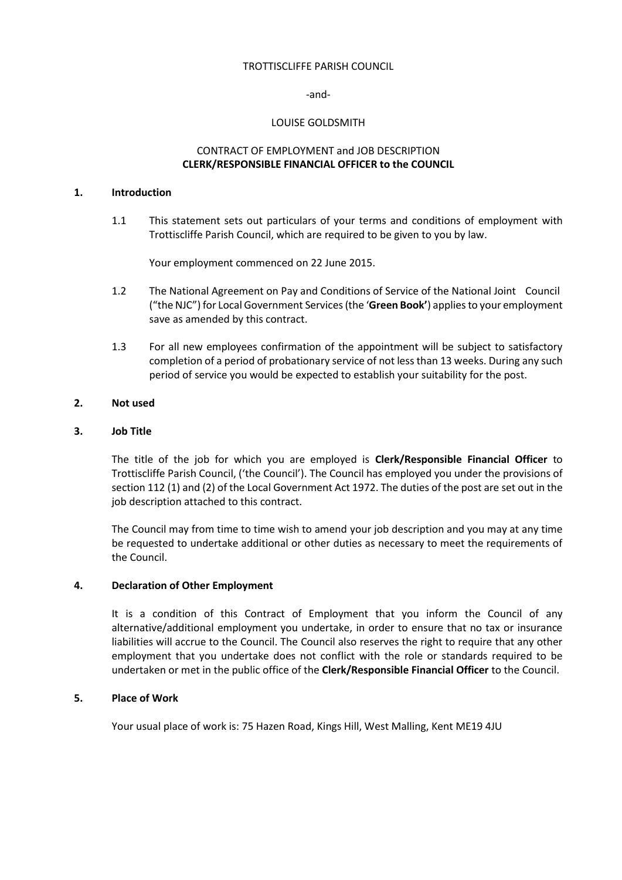### TROTTISCLIFFE PARISH COUNCIL

#### -and-

### LOUISE GOLDSMITH

# CONTRACT OF EMPLOYMENT and JOB DESCRIPTION **CLERK/RESPONSIBLE FINANCIAL OFFICER to the COUNCIL**

### **1. Introduction**

1.1 This statement sets out particulars of your terms and conditions of employment with Trottiscliffe Parish Council, which are required to be given to you by law.

Your employment commenced on 22 June 2015.

- 1.2 The National Agreement on Pay and Conditions of Service of the National Joint Council ("the NJC") for Local Government Services (the '**Green Book'**) applies to your employment save as amended by this contract.
- 1.3 For all new employees confirmation of the appointment will be subject to satisfactory completion of a period of probationary service of not less than 13 weeks. During any such period of service you would be expected to establish your suitability for the post.

## **2. Not used**

## **3. Job Title**

The title of the job for which you are employed is **Clerk/Responsible Financial Officer** to Trottiscliffe Parish Council, ('the Council'). The Council has employed you under the provisions of section 112 (1) and (2) of the Local Government Act 1972. The duties of the post are set out in the job description attached to this contract.

The Council may from time to time wish to amend your job description and you may at any time be requested to undertake additional or other duties as necessary to meet the requirements of the Council.

## **4. Declaration of Other Employment**

It is a condition of this Contract of Employment that you inform the Council of any alternative/additional employment you undertake, in order to ensure that no tax or insurance liabilities will accrue to the Council. The Council also reserves the right to require that any other employment that you undertake does not conflict with the role or standards required to be undertaken or met in the public office of the **Clerk/Responsible Financial Officer** to the Council.

## **5. Place of Work**

Your usual place of work is: 75 Hazen Road, Kings Hill, West Malling, Kent ME19 4JU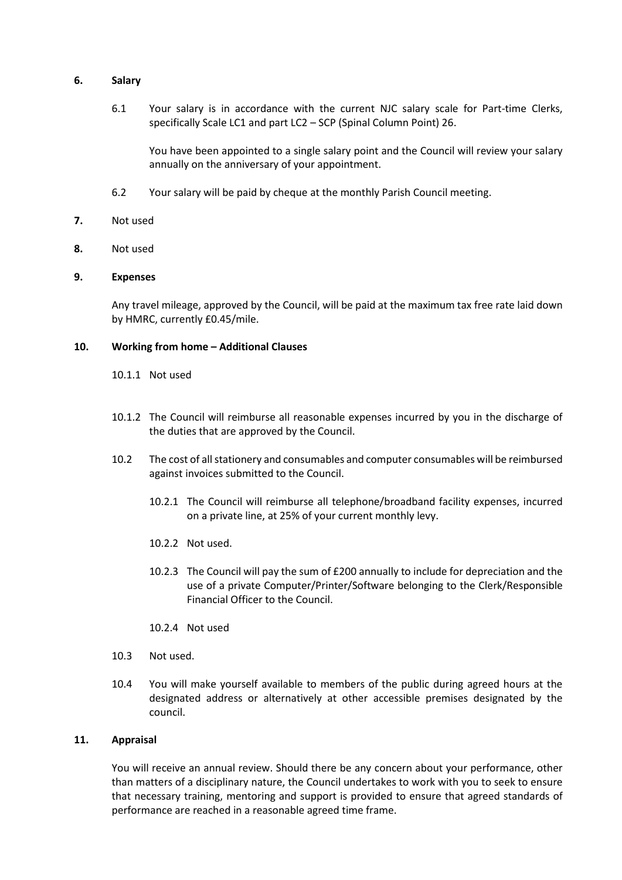### **6. Salary**

6.1 Your salary is in accordance with the current NJC salary scale for Part-time Clerks, specifically Scale LC1 and part LC2 – SCP (Spinal Column Point) 26.

You have been appointed to a single salary point and the Council will review your salary annually on the anniversary of your appointment.

- 6.2 Your salary will be paid by cheque at the monthly Parish Council meeting.
- **7.** Not used
- **8.** Not used

### **9. Expenses**

Any travel mileage, approved by the Council, will be paid at the maximum tax free rate laid down by HMRC, currently £0.45/mile.

### **10. Working from home – Additional Clauses**

10.1.1 Not used

- 10.1.2 The Council will reimburse all reasonable expenses incurred by you in the discharge of the duties that are approved by the Council.
- 10.2 The cost of all stationery and consumables and computer consumables will be reimbursed against invoices submitted to the Council.
	- 10.2.1 The Council will reimburse all telephone/broadband facility expenses, incurred on a private line, at 25% of your current monthly levy.
	- 10.2.2 Not used.
	- 10.2.3 The Council will pay the sum of £200 annually to include for depreciation and the use of a private Computer/Printer/Software belonging to the Clerk/Responsible Financial Officer to the Council.
	- 10.2.4 Not used
- 10.3 Not used.
- 10.4 You will make yourself available to members of the public during agreed hours at the designated address or alternatively at other accessible premises designated by the council.

#### **11. Appraisal**

You will receive an annual review. Should there be any concern about your performance, other than matters of a disciplinary nature, the Council undertakes to work with you to seek to ensure that necessary training, mentoring and support is provided to ensure that agreed standards of performance are reached in a reasonable agreed time frame.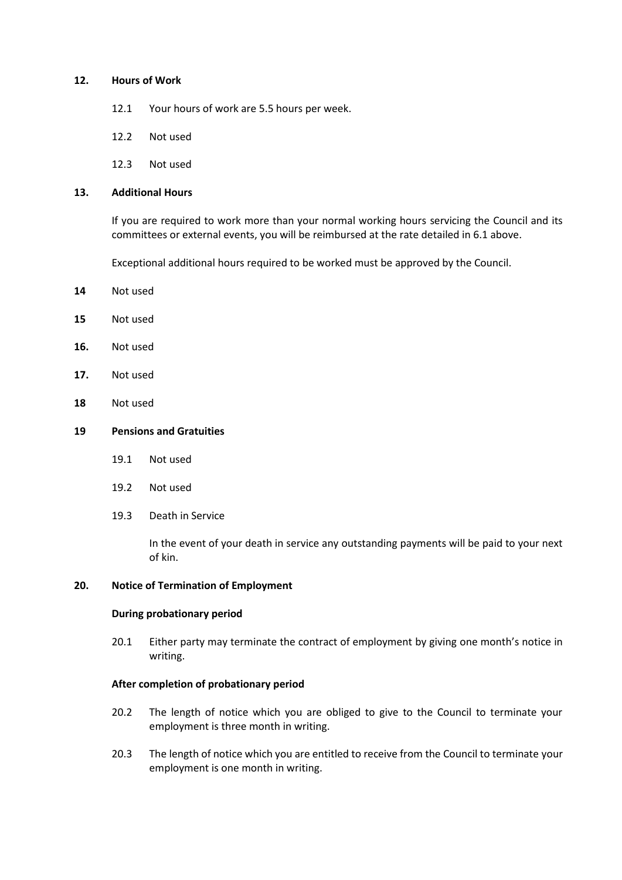### **12. Hours of Work**

- 12.1 Your hours of work are 5.5 hours per week.
- 12.2 Not used
- 12.3 Not used

# **13. Additional Hours**

If you are required to work more than your normal working hours servicing the Council and its committees or external events, you will be reimbursed at the rate detailed in 6.1 above.

Exceptional additional hours required to be worked must be approved by the Council.

- **14** Not used
- **15** Not used
- **16.** Not used
- **17.** Not used
- **18** Not used

### **19 Pensions and Gratuities**

- 19.1 Not used
- 19.2 Not used
- 19.3 Death in Service

In the event of your death in service any outstanding payments will be paid to your next of kin.

#### **20. Notice of Termination of Employment**

#### **During probationary period**

20.1 Either party may terminate the contract of employment by giving one month's notice in writing.

### **After completion of probationary period**

- 20.2 The length of notice which you are obliged to give to the Council to terminate your employment is three month in writing.
- 20.3 The length of notice which you are entitled to receive from the Council to terminate your employment is one month in writing.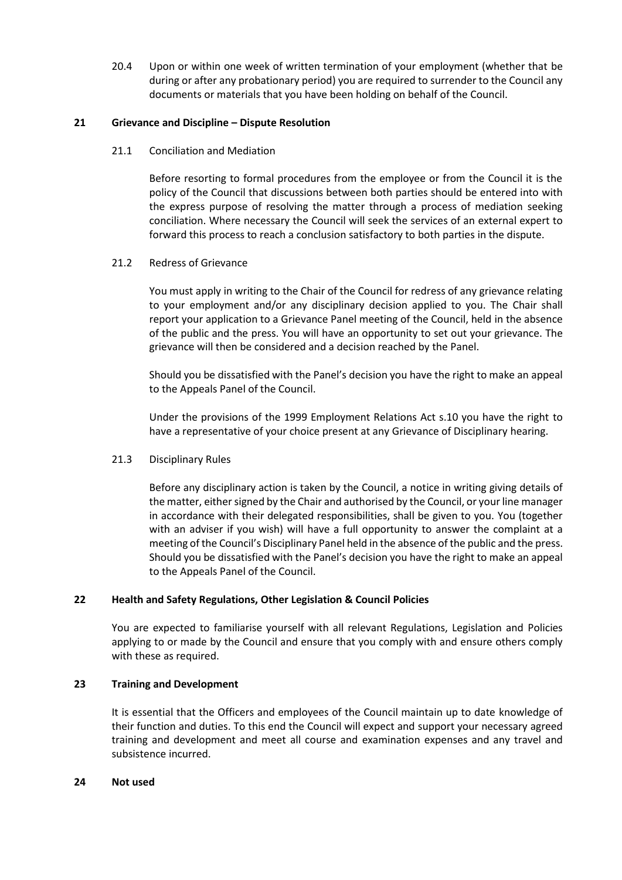20.4 Upon or within one week of written termination of your employment (whether that be during or after any probationary period) you are required to surrender to the Council any documents or materials that you have been holding on behalf of the Council.

# **21 Grievance and Discipline – Dispute Resolution**

21.1 Conciliation and Mediation

Before resorting to formal procedures from the employee or from the Council it is the policy of the Council that discussions between both parties should be entered into with the express purpose of resolving the matter through a process of mediation seeking conciliation. Where necessary the Council will seek the services of an external expert to forward this process to reach a conclusion satisfactory to both parties in the dispute.

# 21.2 Redress of Grievance

You must apply in writing to the Chair of the Council for redress of any grievance relating to your employment and/or any disciplinary decision applied to you. The Chair shall report your application to a Grievance Panel meeting of the Council, held in the absence of the public and the press. You will have an opportunity to set out your grievance. The grievance will then be considered and a decision reached by the Panel.

Should you be dissatisfied with the Panel's decision you have the right to make an appeal to the Appeals Panel of the Council.

Under the provisions of the 1999 Employment Relations Act s.10 you have the right to have a representative of your choice present at any Grievance of Disciplinary hearing.

## 21.3 Disciplinary Rules

Before any disciplinary action is taken by the Council, a notice in writing giving details of the matter, either signed by the Chair and authorised by the Council, or your line manager in accordance with their delegated responsibilities, shall be given to you. You (together with an adviser if you wish) will have a full opportunity to answer the complaint at a meeting of the Council's Disciplinary Panel held in the absence of the public and the press. Should you be dissatisfied with the Panel's decision you have the right to make an appeal to the Appeals Panel of the Council.

# **22 Health and Safety Regulations, Other Legislation & Council Policies**

You are expected to familiarise yourself with all relevant Regulations, Legislation and Policies applying to or made by the Council and ensure that you comply with and ensure others comply with these as required.

## **23 Training and Development**

It is essential that the Officers and employees of the Council maintain up to date knowledge of their function and duties. To this end the Council will expect and support your necessary agreed training and development and meet all course and examination expenses and any travel and subsistence incurred.

## **24 Not used**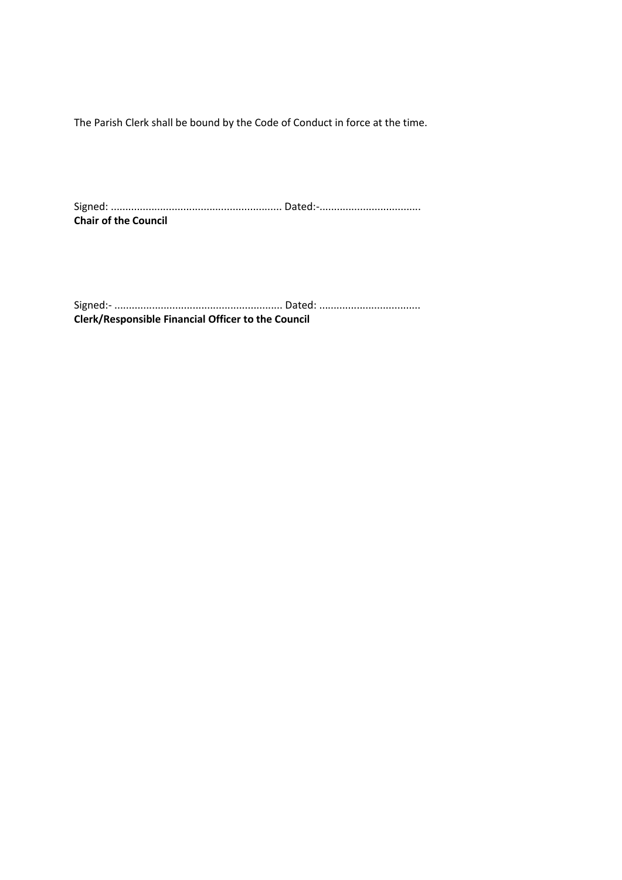The Parish Clerk shall be bound by the Code of Conduct in force at the time.

Signed: ........................................................... Dated:-................................... **Chair of the Council**

Signed:- .......................................................... Dated: ................................... **Clerk/Responsible Financial Officer to the Council**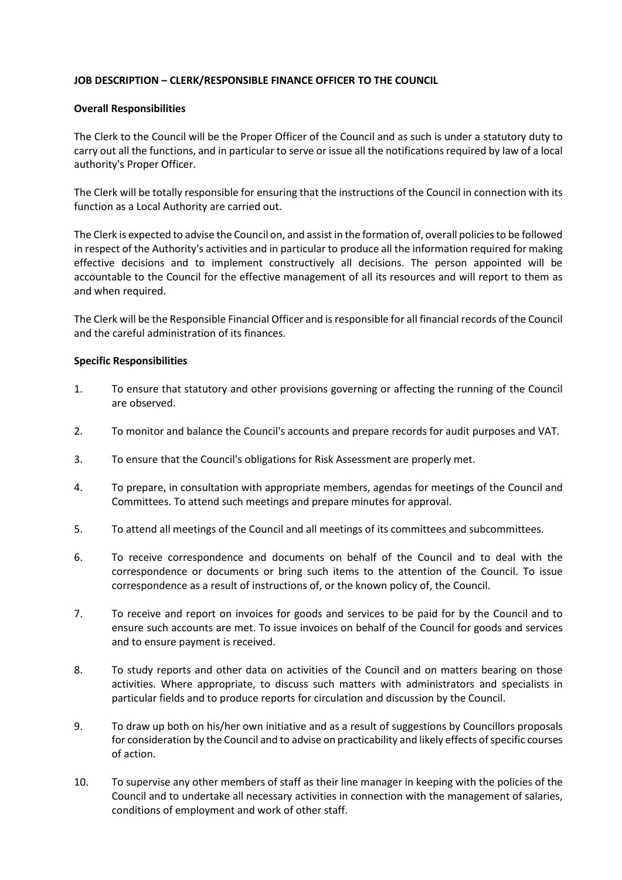# **JOB DESCRIPTION – CLERK/RESPONSIBLE FINANCE OFFICER TO THE COUNCIL**

## **Overall Responsibilities**

The Clerk to the Council will be the Proper Officer of the Council and as such is under a statutory duty to carry out all the functions, and in particular to serve or issue all the notifications required by law of a local authority's Proper Officer.

The Clerk will be totally responsible for ensuring that the instructions of the Council in connection with its function as a Local Authority are carried out.

The Clerk is expected to advise the Council on, and assist in the formation of, overall policies to be followed in respect of the Authority's activities and in particular to produce all the information required for making effective decisions and to implement constructively all decisions. The person appointed will be accountable to the Council for the effective management of all its resources and will report to them as and when required.

The Clerk will be the Responsible Financial Officer and is responsible for all financial records of the Council and the careful administration of its finances.

## **Specific Responsibilities**

- 1. To ensure that statutory and other provisions governing or affecting the running of the Council are observed.
- 2. To monitor and balance the Council's accounts and prepare records for audit purposes and VAT.
- 3. To ensure that the Council's obligations for Risk Assessment are properly met.
- 4. To prepare, in consultation with appropriate members, agendas for meetings of the Council and Committees. To attend such meetings and prepare minutes for approval.
- 5. To attend all meetings of the Council and all meetings of its committees and subcommittees.
- 6. To receive correspondence and documents on behalf of the Council and to deal with the correspondence or documents or bring such items to the attention of the Council. To issue correspondence as a result of instructions of, or the known policy of, the Council.
- 7. To receive and report on invoices for goods and services to be paid for by the Council and to ensure such accounts are met. To issue invoices on behalf of the Council for goods and services and to ensure payment is received.
- 8. To study reports and other data on activities of the Council and on matters bearing on those activities. Where appropriate, to discuss such matters with administrators and specialists in particular fields and to produce reports for circulation and discussion by the Council.
- 9. To draw up both on his/her own initiative and as a result of suggestions by Councillors proposals for consideration by the Council and to advise on practicability and likely effects of specific courses of action.
- 10. To supervise any other members of staff as their line manager in keeping with the policies of the Council and to undertake all necessary activities in connection with the management of salaries, conditions of employment and work of other staff.